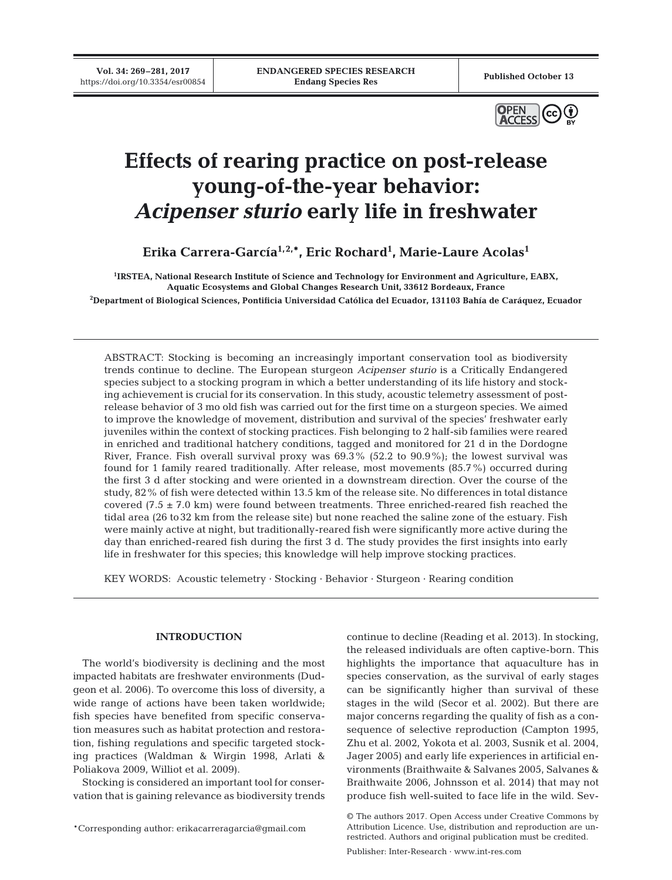

# **Effects of rearing practice on post-release young-of-the-year behavior:** *Acipenser sturio* **early life in freshwater**

**Erika Carrera-García1,2,\*, Eric Rochard1 , Marie-Laure Acolas1**

**1 IRSTEA, National Research Institute of Science and Technology for Environment and Agriculture, EABX, Aquatic Ecosystems and Global Changes Research Unit, 33612 Bordeaux, France 2 Department of Biological Sciences, Pontificia Universidad Católica del Ecuador, 131103 Bahía de Caráquez, Ecuador**

ABSTRACT: Stocking is becoming an increasingly important conservation tool as biodiversity trends continue to decline. The European sturgeon *Acipenser sturio* is a Critically Endangered species subject to a stocking program in which a better understanding of its life history and stocking achievement is crucial for its conservation. In this study, acoustic telemetry assessment of postrelease behavior of 3 mo old fish was carried out for the first time on a sturgeon species. We aimed to improve the knowledge of movement, distribution and survival of the species' freshwater early juveniles within the context of stocking practices. Fish belonging to 2 half-sib families were reared in enriched and traditional hatchery conditions, tagged and monitored for 21 d in the Dordogne River, France. Fish overall survival proxy was 69.3% (52.2 to 90.9%); the lowest survival was found for 1 family reared traditionally. After release, most movements (85.7%) occurred during the first 3 d after stocking and were oriented in a downstream direction. Over the course of the study, 82% of fish were detected within 13.5 km of the release site. No differences in total distance covered  $(7.5 \pm 7.0 \text{ km})$  were found between treatments. Three enriched-reared fish reached the tidal area (26 to32 km from the release site) but none reached the saline zone of the estuary. Fish were mainly active at night, but traditionally-reared fish were significantly more active during the day than enriched-reared fish during the first 3 d. The study provides the first insights into early life in freshwater for this species; this knowledge will help improve stocking practices.

KEY WORDS: Acoustic telemetry · Stocking · Behavior · Sturgeon · Rearing condition

## **INTRODUCTION**

The world's biodiversity is declining and the most impacted habitats are freshwater environments (Dudgeon et al. 2006). To overcome this loss of diversity, a wide range of actions have been taken worldwide; fish species have benefited from specific conservation measures such as habitat protection and restoration, fishing regulations and specific targeted stocking practices (Waldman & Wirgin 1998, Arlati & Poliakova 2009, Williot et al. 2009).

Stocking is considered an important tool for conservation that is gaining relevance as biodiversity trends continue to decline (Reading et al. 2013). In stocking, the released individuals are often captive-born. This highlights the importance that aquaculture has in species conservation, as the survival of early stages can be significantly higher than survival of these stages in the wild (Secor et al. 2002). But there are major concerns regarding the quality of fish as a consequence of selective reproduction (Campton 1995, Zhu et al. 2002, Yokota et al. 2003, Susnik et al. 2004, Jager 2005) and early life experiences in artificial en vironments (Braithwaite & Salvanes 2005, Salvanes & Braithwaite 2006, Johnsson et al. 2014) that may not produce fish well-suited to face life in the wild. Sev-

<sup>\*</sup>Corresponding author: erikacarreragarcia@gmail.com

<sup>©</sup> The authors 2017. Open Access under Creative Commons by Attribution Licence. Use, distribution and reproduction are unrestricted. Authors and original publication must be credited.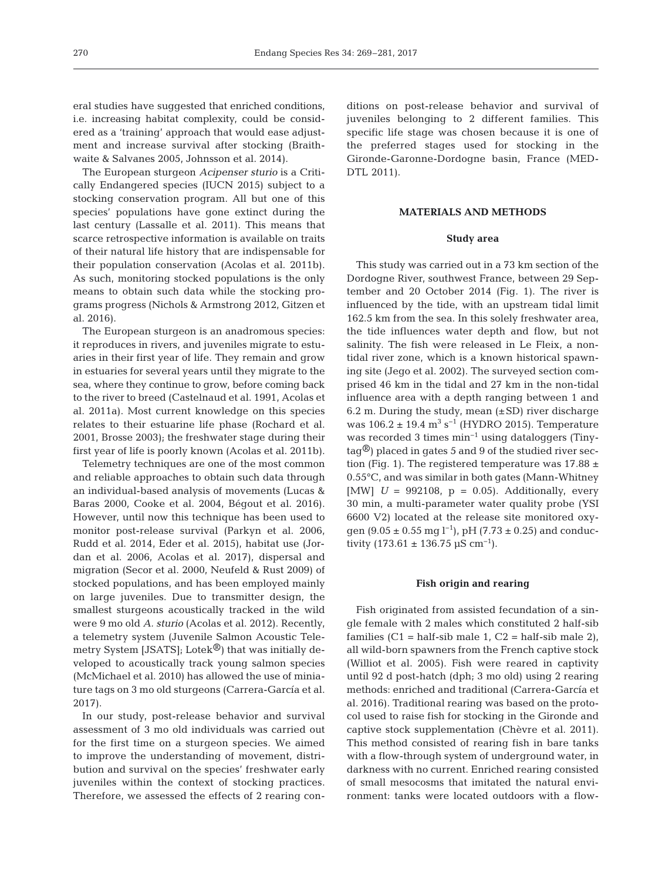eral studies have suggested that enriched conditions, i.e. increasing habitat complexity, could be considered as a 'training' approach that would ease adjustment and increase survival after stocking (Braithwaite & Salvanes 2005, Johnsson et al. 2014).

The European sturgeon *Acipenser sturio* is a Critically Endangered species (IUCN 2015) subject to a stocking conservation program. All but one of this species' populations have gone extinct during the last century (Lassalle et al. 2011). This means that scarce retrospective information is available on traits of their natural life history that are indispensable for their population conservation (Acolas et al. 2011b). As such, monitoring stocked populations is the only means to obtain such data while the stocking programs progress (Nichols & Armstrong 2012, Gitzen et al. 2016).

The European sturgeon is an anadromous species: it reproduces in rivers, and juveniles migrate to estuaries in their first year of life. They remain and grow in estuaries for several years until they migrate to the sea, where they continue to grow, before coming back to the river to breed (Castelnaud et al. 1991, Acolas et al. 2011a). Most current knowledge on this species relates to their estuarine life phase (Rochard et al. 2001, Brosse 2003); the freshwater stage during their first year of life is poorly known (Acolas et al. 2011b).

Telemetry techniques are one of the most common and reliable approaches to obtain such data through an individual-based analysis of movements (Lucas & Baras 2000, Cooke et al. 2004, Bégout et al. 2016). However, until now this technique has been used to monitor post-release survival (Parkyn et al. 2006, Rudd et al. 2014, Eder et al. 2015), habitat use (Jordan et al. 2006, Acolas et al. 2017), dispersal and migration (Secor et al. 2000, Neufeld & Rust 2009) of stocked populations, and has been employed mainly on large juveniles. Due to transmitter design, the smallest sturgeons acoustically tracked in the wild were 9 mo old *A. sturio* (Acolas et al. 2012). Recently, a telemetry system (Juvenile Salmon Acoustic Tele metry System [JSATS]; Lotek $\mathbb{B}$ ) that was initially developed to acoustically track young salmon species (McMichael et al. 2010) has allowed the use of miniature tags on 3 mo old sturgeons (Carrera-García et al. 2017).

In our study, post-release behavior and survival assessment of 3 mo old individuals was carried out for the first time on a sturgeon species. We aimed to improve the understanding of movement, distribution and survival on the species' freshwater early juveniles within the context of stocking practices. Therefore, we assessed the effects of 2 rearing conditions on post-release behavior and survival of juveniles belonging to 2 different families. This specific life stage was chosen because it is one of the preferred stages used for stocking in the Gironde-Garonne-Dordogne basin, France (MED-DTL 2011).

## **MATERIALS AND METHODS**

## **Study area**

This study was carried out in a 73 km section of the Dordogne River, southwest France, between 29 September and 20 October 2014 (Fig. 1). The river is influenced by the tide, with an upstream tidal limit 162.5 km from the sea. In this solely freshwater area, the tide influences water depth and flow, but not salinity. The fish were released in Le Fleix, a nontidal river zone, which is a known historical spawning site (Jego et al. 2002). The surveyed section comprised 46 km in the tidal and 27 km in the non-tidal influence area with a depth ranging between 1 and 6.2 m. During the study, mean  $(\pm SD)$  river discharge was  $106.2 \pm 19.4$  m<sup>3</sup> s<sup>-1</sup> (HYDRO 2015). Temperature was recorded 3 times min−1 using dataloggers (Tiny- $\text{tag}^{\textcircled{\tiny{\text{B}}}}$ ) placed in gates 5 and 9 of the studied river section (Fig. 1). The registered temperature was  $17.88 \pm$ 0.55°C, and was similar in both gates (Mann-Whitney [MW]  $U = 992108$ ,  $p = 0.05$ ]. Additionally, every 30 min, a multi-parameter water quality probe (YSI 6600 V2) located at the release site monitored oxygen (9.05 ± 0.55 mg l<sup>-1</sup>), pH (7.73 ± 0.25) and conductivity (173.61 ± 136.75 µS cm<sup>-1</sup>).

#### **Fish origin and rearing**

Fish originated from assisted fecundation of a single female with 2 males which constituted 2 half-sib families  $(C1 = \text{half-sib male } 1, C2 = \text{half-sib male } 2)$ , all wild-born spawners from the French captive stock (Williot et al. 2005). Fish were reared in captivity until 92 d post-hatch (dph; 3 mo old) using 2 rearing methods: enriched and traditional (Carrera-García et al. 2016). Traditional rearing was based on the protocol used to raise fish for stocking in the Gironde and captive stock supplementation (Chèvre et al. 2011). This method consisted of rearing fish in bare tanks with a flow-through system of underground water, in darkness with no current. Enriched rearing consisted of small mesocosms that imitated the natural environment: tanks were located outdoors with a flow-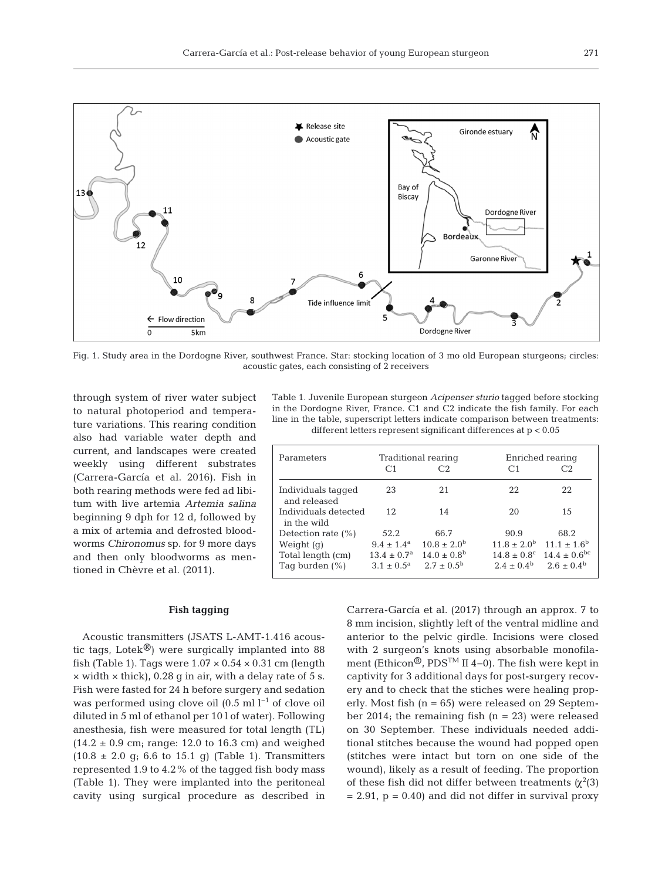

Fig. 1. Study area in the Dordogne River, southwest France. Star: stocking location of 3 mo old European sturgeons; circles: acoustic gates, each consisting of 2 receivers

through system of river water subject to natural photoperiod and temperature variations. This rearing condition also had variable water depth and current, and landscapes were created weekly using different substrates (Carrera-García et al. 2016). Fish in both rearing methods were fed ad libitum with live artemia *Artemia salina* beginning 9 dph for 12 d, followed by a mix of artemia and defrosted bloodworms *Chironomus* sp. for 9 more days and then only bloodworms as mentioned in Chèvre et al. (2011).

#### **Fish tagging**

Acoustic transmitters (JSATS L-AMT-1.416 acous tic tags, Lotek<sup>®</sup>) were surgically implanted into 88 fish (Table 1). Tags were  $1.07 \times 0.54 \times 0.31$  cm (length  $\times$  width  $\times$  thick), 0.28 g in air, with a delay rate of 5 s. Fish were fasted for 24 h before surgery and sedation was performed using clove oil  $(0.5 \text{ ml } l^{-1}$  of clove oil diluted in 5 ml of ethanol per 10 l of water). Following anesthesia, fish were measured for total length (TL)  $(14.2 \pm 0.9 \text{ cm}; \text{ range}: 12.0 \text{ to } 16.3 \text{ cm})$  and weighed  $(10.8 \pm 2.0 \text{ g}; 6.6 \text{ to } 15.1 \text{ g})$  (Table 1). Transmitters represented 1.9 to 4.2% of the tagged fish body mass (Table 1). They were implanted into the peritoneal cavity using surgical procedure as described in

Table 1. Juvenile European sturgeon *Acipenser sturio* tagged before stocking in the Dordogne River, France. C1 and C2 indicate the fish family. For each line in the table, superscript letters indicate comparison between treatments: different letters represent significant differences at p < 0.05

| Parameters                          | C <sub>1</sub>              | Traditional rearing<br>C2 | C <sub>1</sub>              | Enriched rearing<br>C.2 |
|-------------------------------------|-----------------------------|---------------------------|-----------------------------|-------------------------|
| Individuals tagged<br>and released  | 23                          | 2.1                       | 22                          | 22                      |
| Individuals detected<br>in the wild | 12                          | 14                        | 20                          | 15                      |
| Detection rate $(\% )$              | 52.2                        | 66.7                      | 90.9                        | 68.2                    |
| Weight $(q)$                        | $9.4 \pm 1.4^{\text{a}}$    | $10.8 \pm 2.0^{\rm b}$    | $11.8 \pm 2.0^b$            | $11.1 \pm 1.6^b$        |
| Total length (cm)                   | $13.4 \pm 0.7$ <sup>a</sup> | $14.0 \pm 0.8^{\rm b}$    | $14.8 \pm 0.8$ <sup>c</sup> | $14.4 \pm 0.6^{\rm bc}$ |
| Tag burden $(\% )$                  | $3.1 \pm 0.5^{\rm a}$       | $2.7 \pm 0.5^{\rm b}$     | $2.4 + 0.4^{\rm b}$         | $2.6 \pm 0.4^{\rm b}$   |

Carrera-García et al. (2017) through an approx. 7 to 8 mm incision, slightly left of the ventral midline and anterior to the pelvic girdle. Incisions were closed with 2 surgeon's knots using absorbable monofilament (Ethicon®, PDSTM II 4−0). The fish were kept in captivity for 3 additional days for post-surgery recovery and to check that the stiches were healing properly. Most fish  $(n = 65)$  were released on 29 September 2014; the remaining fish  $(n = 23)$  were released on 30 September. These individuals needed additional stitches because the wound had popped open (stitches were intact but torn on one side of the wound), likely as a result of feeding. The proportion of these fish did not differ between treatments  $(\chi^2(3))$  $= 2.91$ ,  $p = 0.40$  and did not differ in survival proxy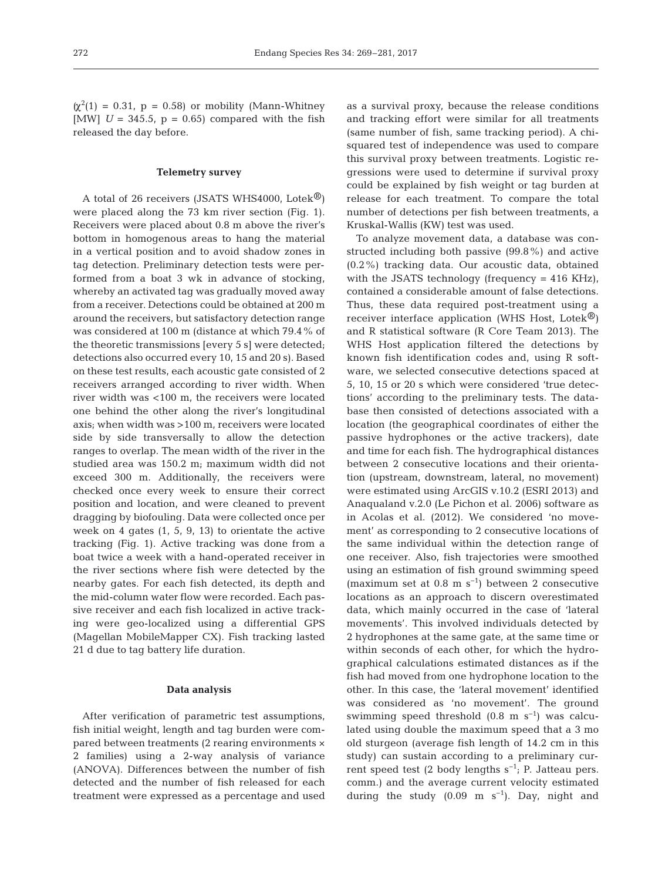$\alpha^2(1) = 0.31$ ,  $p = 0.58$ ) or mobility (Mann-Whitney [MW]  $U = 345.5$ ,  $p = 0.65$ ] compared with the fish released the day before.

#### **Telemetry survey**

A total of 26 receivers (JSATS WHS4000, Lotek<sup> $\circledR$ </sup>) were placed along the 73 km river section (Fig. 1). Receivers were placed about 0.8 m above the river's bottom in homogenous areas to hang the material in a vertical position and to avoid shadow zones in tag detection. Preliminary detection tests were performed from a boat 3 wk in advance of stocking, whereby an activated tag was gradually moved away from a receiver. Detections could be obtained at 200 m around the receivers, but satisfactory detection range was considered at 100 m (distance at which 79.4% of the theoretic transmissions [every 5 s] were detected; detections also occurred every 10, 15 and 20 s). Based on these test results, each acoustic gate consisted of 2 receivers arranged according to river width. When river width was <100 m, the receivers were located one behind the other along the river's longitudinal axis; when width was >100 m, receivers were located side by side transversally to allow the detection ranges to overlap. The mean width of the river in the studied area was 150.2 m; maximum width did not exceed 300 m. Additionally, the receivers were checked once every week to ensure their correct position and location, and were cleaned to prevent dragging by biofouling. Data were collected once per week on 4 gates (1, 5, 9, 13) to orientate the active tracking (Fig. 1). Active tracking was done from a boat twice a week with a hand-operated receiver in the river sections where fish were detected by the nearby gates. For each fish detected, its depth and the mid-column water flow were recorded. Each passive receiver and each fish localized in active tracking were geo-localized using a differential GPS (Magellan MobileMapper CX). Fish tracking lasted 21 d due to tag battery life duration.

## **Data analysis**

After verification of parametric test assumptions, fish initial weight, length and tag burden were compared between treatments (2 rearing environments × 2 families) using a 2-way analysis of variance (ANOVA). Differences between the number of fish detected and the number of fish released for each treatment were expressed as a percentage and used as a survival proxy, because the release conditions and tracking effort were similar for all treatments (same number of fish, same tracking period). A chisquared test of independence was used to compare this survival proxy between treatments. Logistic re gressions were used to determine if survival proxy could be explained by fish weight or tag burden at release for each treatment. To compare the total number of detections per fish between treatments, a Kruskal-Wallis (KW) test was used.

To analyze movement data, a database was constructed including both passive (99.8%) and active (0.2%) tracking data. Our acoustic data, obtained with the JSATS technology (frequency = 416 KHz), contained a considerable amount of false detections. Thus, these data required post-treatment using a receiver interface application (WHS Host, Lotek®) and R statistical software (R Core Team 2013). The WHS Host application filtered the detections by known fish identification codes and, using R software, we selected consecutive detections spaced at 5, 10, 15 or 20 s which were considered 'true detections' according to the preliminary tests. The database then consisted of detections associated with a location (the geographical coordinates of either the passive hydrophones or the active trackers), date and time for each fish. The hydrographical distances between 2 consecutive locations and their orientation (upstream, downstream, lateral, no movement) were estimated using ArcGIS v.10.2 (ESRI 2013) and Anaqualand v.2.0 (Le Pichon et al. 2006) software as in Acolas et al. (2012). We considered 'no movement' as corresponding to 2 consecutive locations of the same individual within the detection range of one receiver. Also, fish trajectories were smoothed using an estimation of fish ground swimming speed (maximum set at 0.8 m s−1) between 2 consecutive locations as an approach to discern overestimated data, which mainly occurred in the case of 'lateral movements'. This in volved individuals detected by 2 hydro phones at the same gate, at the same time or within seconds of each other, for which the hydrographical calculations estimated distances as if the fish had moved from one hydrophone location to the other. In this case, the 'lateral movement' identified was considered as 'no movement'. The ground swimming speed threshold  $(0.8 \text{ m s}^{-1})$  was calculated using double the maximum speed that a 3 mo old sturgeon (average fish length of 14.2 cm in this study) can sustain according to a preliminary current speed test (2 body lengths  $s^{-1}$ ; P. Jatteau pers. comm.) and the average current velocity estimated during the study  $(0.09 \text{ m s}^{-1})$ . Day, night and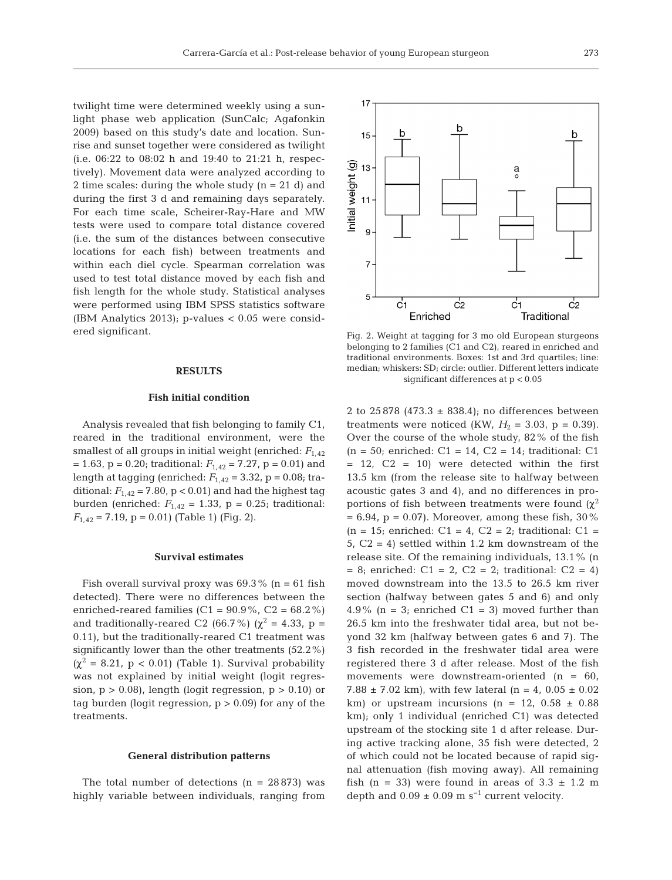twilight time were determined weekly using a sunlight phase web application (SunCalc; Agafonkin 2009) based on this study's date and location. Sunrise and sunset together were considered as twilight (i.e. 06:22 to 08:02 h and 19:40 to 21:21 h, respectively). Movement data were analyzed according to 2 time scales: during the whole study (n = 21 d) and during the first 3 d and remaining days separately. For each time scale, Scheirer-Ray-Hare and MW tests were used to compare total distance covered (i.e. the sum of the distances between consecutive locations for each fish) between treatments and within each diel cycle. Spearman correlation was used to test total distance moved by each fish and fish length for the whole study. Statistical analyses were performed using IBM SPSS statistics software (IBM Analytics 2013); p-values < 0.05 were considered significant.

## **RESULTS**

### **Fish initial condition**

Analysis revealed that fish belonging to family C1, reared in the traditional environment, were the smallest of all groups in initial weight (enriched:  $F_{1,42}$ )  $= 1.63$ ,  $p = 0.20$ ; traditional:  $F_{1,42} = 7.27$ ,  $p = 0.01$ ) and length at tagging (enriched: *F*1,42 = 3.32, p = 0.08; traditional:  $F_{1,42}$  = 7.80, p < 0.01) and had the highest tag burden (enriched:  $F_{1,42} = 1.33$ ,  $p = 0.25$ ; traditional:  $F_{1,42}$  = 7.19, p = 0.01) (Table 1) (Fig. 2).

#### **Survival estimates**

Fish overall survival proxy was  $69.3\%$  (n = 61 fish detected). There were no differences between the enriched-reared families  $(C1 = 90.9\%, C2 = 68.2\%)$ and traditionally-reared C2 (66.7%) ( $\chi^2$  = 4.33, p = 0.11), but the traditionally-reared C1 treatment was significantly lower than the other treatments (52.2%)  $(\chi^2 = 8.21, p < 0.01)$  (Table 1). Survival probability was not explained by initial weight (logit regression,  $p > 0.08$ , length (logit regression,  $p > 0.10$ ) or tag burden (logit regression,  $p > 0.09$ ) for any of the treatments.

#### **General distribution patterns**

The total number of detections  $(n = 28873)$  was highly variable between individuals, ranging from

Fig. 2. Weight at tagging for 3 mo old European sturgeons belonging to 2 families (C1 and C2), reared in enriched and traditional environments. Boxes: 1st and 3rd quartiles; line: median; whiskers: SD; circle: outlier. Different letters indicate significant differences at p < 0.05

2 to 25 878 (473.3  $\pm$  838.4); no differences between treatments were noticed (KW,  $H_2 = 3.03$ , p = 0.39). Over the course of the whole study, 82% of the fish  $(n = 50;$  enriched:  $C1 = 14$ ,  $C2 = 14$ ; traditional: C1  $= 12$ ,  $C2 = 10$ ) were detected within the first 13.5 km (from the release site to halfway between acoustic gates 3 and 4), and no differences in proportions of fish between treatments were found  $(\chi^2)$  $= 6.94$ , p = 0.07). Moreover, among these fish, 30%  $(n = 15;$  enriched:  $C1 = 4$ ,  $C2 = 2;$  traditional:  $C1 =$ 5,  $C2 = 4$ ) settled within 1.2 km downstream of the release site. Of the remaining individuals, 13.1% (n  $= 8$ ; enriched: C1 = 2, C2 = 2; traditional: C2 = 4) moved downstream into the 13.5 to 26.5 km river section (halfway between gates 5 and 6) and only 4.9% ( $n = 3$ ; enriched C1 = 3) moved further than 26.5 km into the freshwater tidal area, but not be yond 32 km (halfway between gates 6 and 7). The 3 fish recorded in the freshwater tidal area were registered there 3 d after release. Most of the fish movements were downstream-oriented (n = 60, 7.88  $\pm$  7.02 km), with few lateral (n = 4, 0.05  $\pm$  0.02 km) or upstream incursions (n = 12,  $0.58 \pm 0.88$ km); only 1 individual (enriched C1) was detected upstream of the stocking site 1 d after release. During active tracking alone, 35 fish were detected, 2 of which could not be located because of rapid signal attenuation (fish moving away). All remaining fish (n = 33) were found in areas of  $3.3 \pm 1.2$  m depth and  $0.09 \pm 0.09$  m s<sup>-1</sup> current velocity.

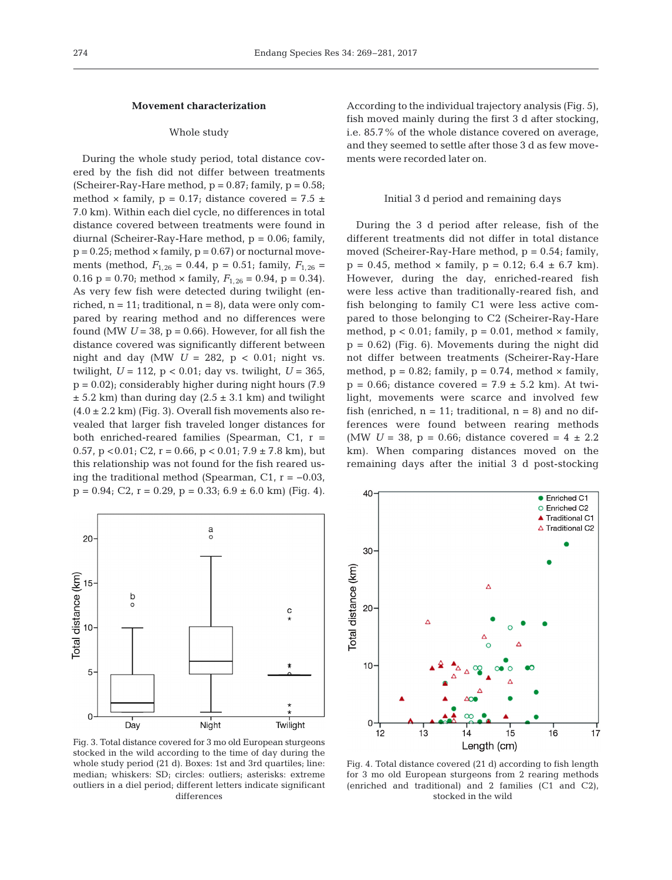## **Movement characterization**

## Whole study

During the whole study period, total distance covered by the fish did not differ between treatments (Scheirer-Ray-Hare method,  $p = 0.87$ ; family,  $p = 0.58$ ; method  $\times$  family,  $p = 0.17$ ; distance covered = 7.5  $\pm$ 7.0 km). Within each diel cycle, no differences in total distance covered between treatments were found in diurnal (Scheirer-Ray-Hare method, p = 0.06; family,  $p = 0.25$ ; method  $\times$  family,  $p = 0.67$ ) or nocturnal movements (method,  $F_{1,26} = 0.44$ ,  $p = 0.51$ ; family,  $F_{1,26} =$ 0.16 p = 0.70; method  $\times$  family,  $F_{1,26} = 0.94$ , p = 0.34). As very few fish were detected during twilight (enriched,  $n = 11$ ; traditional,  $n = 8$ ), data were only compared by rearing method and no differences were found (MW  $U = 38$ ,  $p = 0.66$ ). However, for all fish the distance covered was significantly different between night and day (MW  $U = 282$ ,  $p < 0.01$ ; night vs. twilight,  $U = 112$ ,  $p < 0.01$ ; day vs. twilight,  $U = 365$ ,  $p = 0.02$ ); considerably higher during night hours (7.9)  $\pm$  5.2 km) than during day (2.5  $\pm$  3.1 km) and twilight  $(4.0 \pm 2.2 \text{ km})$  (Fig. 3). Overall fish movements also revealed that larger fish traveled longer distances for both enriched-reared families (Spearman, C1,  $r =$ 0.57, p < 0.01; C2, r = 0.66, p < 0.01; 7.9  $\pm$  7.8 km), but this relationship was not found for the fish reared using the traditional method (Spearman, C1,  $r = -0.03$ ,  $p = 0.94$ ; C2,  $r = 0.29$ ,  $p = 0.33$ ; 6.9  $\pm$  6.0 km) (Fig. 4).



Fig. 3. Total distance covered for 3 mo old European sturgeons stocked in the wild according to the time of day during the whole study period (21 d). Boxes: 1st and 3rd quartiles; line: median; whiskers: SD; circles: outliers; asterisks: extreme outliers in a diel period; different letters indicate significant differences

According to the individual trajectory analysis (Fig. 5), fish moved mainly during the first 3 d after stocking, i.e. 85.7% of the whole distance covered on average, and they seemed to settle after those 3 d as few movements were recorded later on.

#### Initial 3 d period and remaining days

During the 3 d period after release, fish of the different treatments did not differ in total distance moved (Scheirer-Ray-Hare method,  $p = 0.54$ ; family,  $p = 0.45$ , method  $\times$  family,  $p = 0.12$ ; 6.4  $\pm$  6.7 km). However, during the day, enriched-reared fish were less active than traditionally-reared fish, and fish belonging to family C1 were less active compared to those belonging to C2 (Scheirer-Ray-Hare method,  $p < 0.01$ ; family,  $p = 0.01$ , method  $\times$  family,  $p = 0.62$ ) (Fig. 6). Movements during the night did not differ between treatments (Scheirer-Ray-Hare method,  $p = 0.82$ ; family,  $p = 0.74$ , method  $\times$  family,  $p = 0.66$ ; distance covered = 7.9  $\pm$  5.2 km). At twilight, movements were scarce and involved few fish (enriched,  $n = 11$ ; traditional,  $n = 8$ ) and no differences were found between rearing methods (MW  $U = 38$ ,  $p = 0.66$ ; distance covered  $= 4 \pm 2.2$ ) km). When comparing distances moved on the remaining days after the initial 3 d post-stocking



Fig. 4. Total distance covered (21 d) according to fish length for 3 mo old European sturgeons from 2 rearing methods (enriched and traditional) and 2 families (C1 and C2), stocked in the wild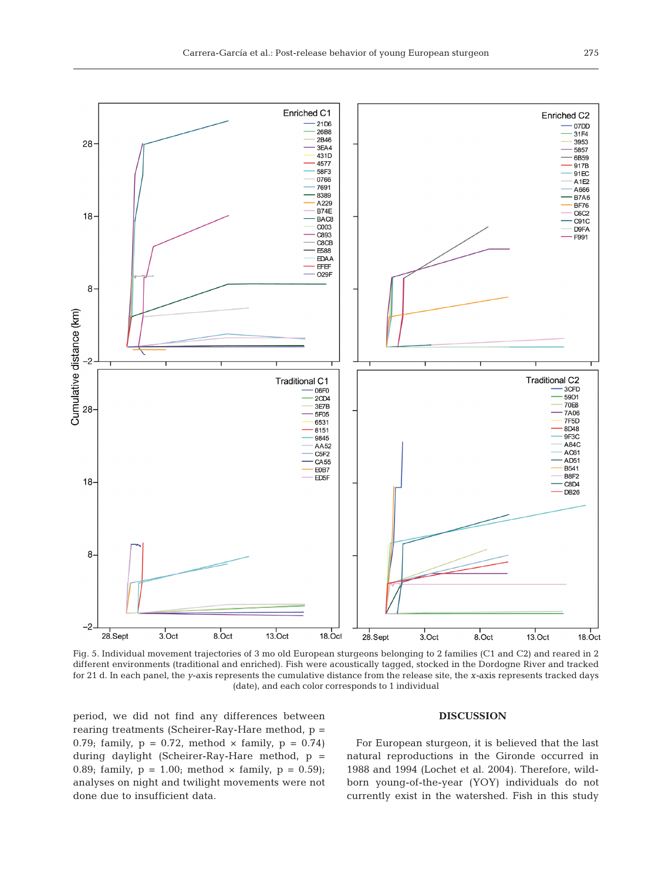

Fig. 5. Individual movement trajectories of 3 mo old European sturgeons belonging to 2 families (C1 and C2) and reared in 2 different environments (traditional and enriched). Fish were acoustically tagged, stocked in the Dordogne River and tracked for 21 d. In each panel, the *y*-axis represents the cumulative distance from the release site, the *x-*axis represents tracked days (date), and each color corresponds to 1 individual

period, we did not find any differences between rearing treatments (Scheirer-Ray-Hare method, p = 0.79; family,  $p = 0.72$ , method  $\times$  family,  $p = 0.74$ ) during daylight (Scheirer-Ray-Hare method, p = 0.89; family,  $p = 1.00$ ; method  $\times$  family,  $p = 0.59$ ); analyses on night and twilight movements were not done due to insufficient data.

## **DISCUSSION**

For European sturgeon, it is believed that the last natural reproductions in the Gironde occurred in 1988 and 1994 (Lochet et al. 2004). Therefore, wildborn young-of-the-year (YOY) individuals do not currently exist in the watershed. Fish in this study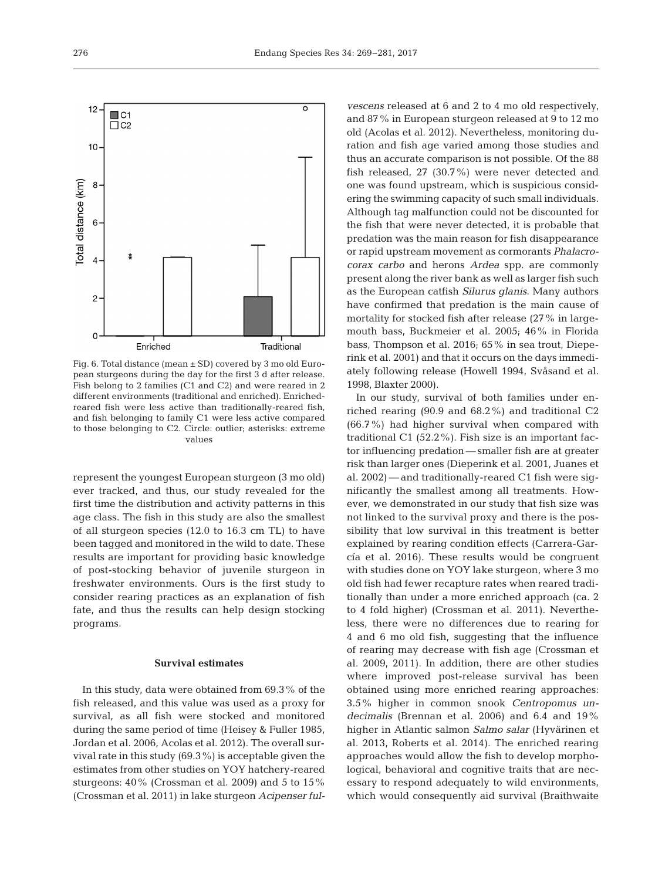

Fig. 6. Total distance (mean ± SD) covered by 3 mo old European sturgeons during the day for the first 3 d after release. Fish belong to 2 families (C1 and C2) and were reared in 2 different environments (traditional and enriched). Enrichedreared fish were less active than traditionally-reared fish, and fish belonging to family C1 were less active compared to those belonging to C2. Circle: outlier; asterisks: extreme values

represent the youngest European sturgeon (3 mo old) ever tracked, and thus, our study revealed for the first time the distribution and activity patterns in this age class. The fish in this study are also the smallest of all sturgeon species (12.0 to 16.3 cm TL) to have been tagged and monitored in the wild to date. These results are important for providing basic knowledge of post-stocking behavior of juvenile sturgeon in freshwater environments. Ours is the first study to consider rearing practices as an explanation of fish fate, and thus the results can help design stocking programs.

#### **Survival estimates**

In this study, data were obtained from 69.3% of the fish released, and this value was used as a proxy for survival, as all fish were stocked and monitored during the same period of time (Heisey & Fuller 1985, Jordan et al. 2006, Acolas et al. 2012). The overall survival rate in this study (69.3%) is acceptable given the estimates from other studies on YOY hatchery-reared sturgeons: 40% (Crossman et al. 2009) and 5 to 15% (Crossman et al. 2011) in lake sturgeon *Acipenser ful-* *vescens* released at 6 and 2 to 4 mo old respectively, and 87% in European sturgeon released at 9 to 12 mo old (Acolas et al. 2012). Nevertheless, monitoring duration and fish age varied among those studies and thus an accurate comparison is not possible. Of the 88 fish released, 27 (30.7%) were never detected and one was found upstream, which is suspicious considering the swimming capacity of such small individuals. Although tag malfunction could not be discounted for the fish that were never detected, it is probable that predation was the main reason for fish disappearance or rapid upstream movement as cormorants *Phalacrocorax carbo* and herons *Ardea* spp. are commonly present along the river bank as well as larger fish such as the European catfish *Silurus glanis*. Many authors have confirmed that predation is the main cause of mortality for stocked fish after release (27% in largemouth bass, Buckmeier et al. 2005; 46% in Florida bass, Thompson et al.  $2016$ ;  $65\%$  in sea trout, Dieperink et al. 2001) and that it occurs on the days immediately following release (Howell 1994, Svåsand et al. 1998, Blaxter 2000).

In our study, survival of both families under enriched rearing (90.9 and 68.2%) and traditional C2 (66.7%) had higher survival when compared with traditional C1 (52.2%). Fish size is an important factor influencing predation — smaller fish are at greater risk than larger ones (Dieperink et al. 2001, Juanes et al. 2002) — and traditionally-reared C1 fish were significantly the smallest among all treatments. However, we demonstrated in our study that fish size was not linked to the survival proxy and there is the possibility that low survival in this treatment is better explained by rearing condition effects (Carrera-García et al. 2016). These results would be congruent with studies done on YOY lake sturgeon, where 3 mo old fish had fewer recapture rates when reared traditionally than under a more enriched approach (ca. 2 to 4 fold higher) (Crossman et al. 2011). Nevertheless, there were no differences due to rearing for 4 and 6 mo old fish, suggesting that the influence of rearing may decrease with fish age (Crossman et al. 2009, 2011). In addition, there are other studies where improved post-release survival has been obtained using more enriched rearing approaches: 3.5% higher in common snook *Centropomus un decimalis* (Brennan et al. 2006) and 6.4 and 19% higher in Atlantic salmon *Salmo salar* (Hyvärinen et al. 2013, Roberts et al. 2014). The enriched rearing approaches would allow the fish to develop morphological, behavioral and cognitive traits that are necessary to respond adequately to wild environments, which would consequently aid survival (Braithwaite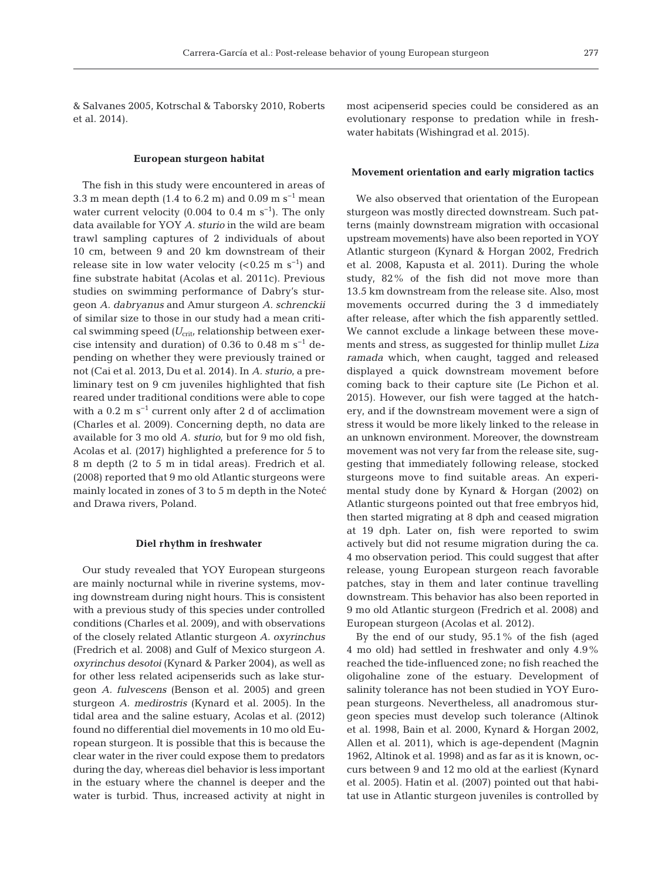& Salvanes 2005, Kotrschal & Taborsky 2010, Roberts et al. 2014).

## **European sturgeon habitat**

The fish in this study were encountered in areas of 3.3 m mean depth (1.4 to 6.2 m) and 0.09 m s<sup>-1</sup> mean water current velocity (0.004 to 0.4 m s<sup>-1</sup>). The only data available for YOY *A. sturio* in the wild are beam trawl sampling captures of 2 individuals of about 10 cm, between 9 and 20 km downstream of their release site in low water velocity  $( $0.25 \text{ m s}^{-1}$ )$  and fine substrate habitat (Acolas et al. 2011c). Previous studies on swimming performance of Dabry's sturgeon *A. dabryanus* and Amur sturgeon *A. schrenckii* of similar size to those in our study had a mean critical swimming speed (U<sub>crit</sub>, relationship between exercise intensity and duration) of 0.36 to 0.48 m s<sup>-1</sup> depending on whether they were previously trained or not (Cai et al. 2013, Du et al. 2014). In *A. sturio*, a preliminary test on 9 cm juveniles highlighted that fish reared under traditional conditions were able to cope with a  $0.2 \text{ m s}^{-1}$  current only after 2 d of acclimation (Charles et al. 2009). Concerning depth, no data are available for 3 mo old *A. sturio*, but for 9 mo old fish, Acolas et al. (2017) highlighted a preference for 5 to 8 m depth (2 to 5 m in tidal areas). Fredrich et al. (2008) reported that 9 mo old Atlantic sturgeons were mainly located in zones of 3 to 5 m depth in the Noteć and Drawa rivers, Poland.

#### **Diel rhythm in freshwater**

Our study revealed that YOY European sturgeons are mainly nocturnal while in riverine systems, moving downstream during night hours. This is consistent with a previous study of this species under controlled conditions (Charles et al. 2009), and with observations of the closely related Atlantic sturgeon *A. oxyrinchus* (Fredrich et al. 2008) and Gulf of Mexico sturgeon *A. oxyrinchus desotoi* (Kynard & Parker 2004), as well as for other less related acipenserids such as lake sturgeon *A. fulvescens* (Benson et al. 2005) and green sturgeon *A. medirostris* (Kynard et al. 2005). In the tidal area and the saline estuary, Acolas et al. (2012) found no differential diel movements in 10 mo old European sturgeon. It is possible that this is because the clear water in the river could expose them to predators during the day, whereas diel behavior is less important in the estuary where the channel is deeper and the water is turbid. Thus, increased activity at night in

most acipenserid species could be considered as an evolutionary response to predation while in freshwater habitats (Wishingrad et al. 2015).

#### **Movement orientation and early migration tactics**

We also observed that orientation of the European sturgeon was mostly directed downstream. Such patterns (mainly downstream migration with occasional upstream movements) have also been reported in YOY Atlantic sturgeon (Kynard & Horgan 2002, Fredrich et al. 2008, Kapusta et al. 2011). During the whole study, 82% of the fish did not move more than 13.5 km downstream from the release site. Also, most movements occurred during the 3 d immediately after release, after which the fish apparently settled. We cannot exclude a linkage between these movements and stress, as suggested for thinlip mullet *Liza ramada* which, when caught, tagged and released displayed a quick downstream movement before coming back to their capture site (Le Pichon et al. 2015). However, our fish were tagged at the hatchery, and if the downstream movement were a sign of stress it would be more likely linked to the release in an unknown environment. Moreover, the downstream movement was not very far from the release site, suggesting that immediately following release, stocked sturgeons move to find suitable areas. An experimental study done by Kynard & Horgan (2002) on Atlantic sturgeons pointed out that free embryos hid, then started migrating at 8 dph and ceased migration at 19 dph. Later on, fish were reported to swim actively but did not resume migration during the ca. 4 mo observation period. This could suggest that after release, young European sturgeon reach favorable patches, stay in them and later continue travelling downstream. This behavior has also been reported in 9 mo old Atlantic sturgeon (Fredrich et al. 2008) and European sturgeon (Acolas et al. 2012).

By the end of our study, 95.1% of the fish (aged 4 mo old) had settled in freshwater and only 4.9% reached the tide-influenced zone; no fish reached the oligohaline zone of the estuary. Development of salinity tolerance has not been studied in YOY European sturgeons. Nevertheless, all anadromous sturgeon species must develop such tolerance (Altinok et al. 1998, Bain et al. 2000, Kynard & Horgan 2002, Allen et al. 2011), which is age-dependent (Magnin 1962, Altinok et al. 1998) and as far as it is known, oc curs between 9 and 12 mo old at the earliest (Kynard et al. 2005). Hatin et al. (2007) pointed out that habitat use in Atlantic sturgeon juveniles is controlled by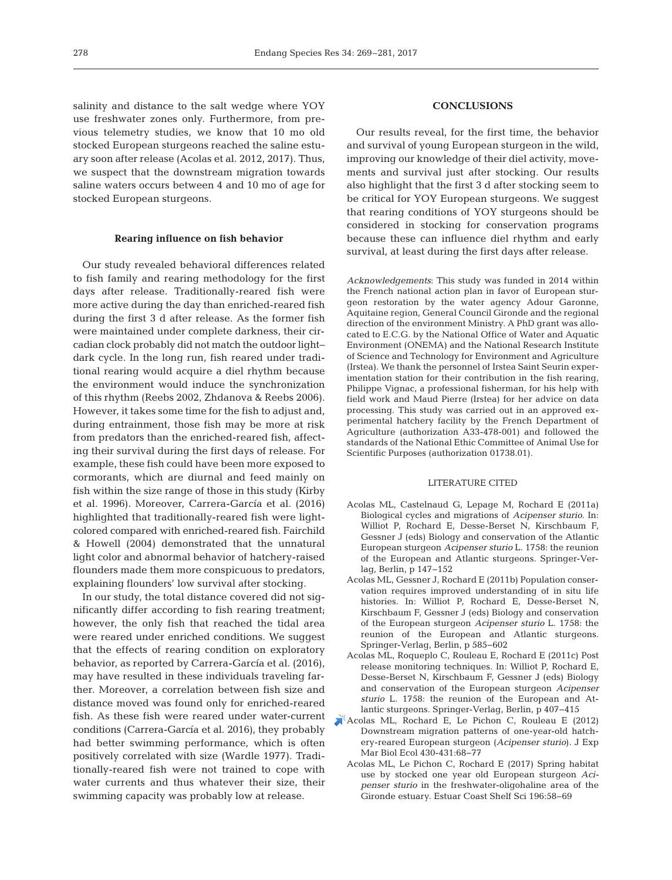salinity and distance to the salt wedge where YOY use freshwater zones only. Furthermore, from previous telemetry studies, we know that 10 mo old stocked European sturgeons reached the saline estuary soon after release (Acolas et al. 2012, 2017). Thus, we suspect that the downstream migration towards saline waters occurs between 4 and 10 mo of age for stocked European sturgeons.

## **Rearing influence on fish behavior**

Our study revealed behavioral differences related to fish family and rearing methodology for the first days after release. Traditionally-reared fish were more active during the day than enriched-reared fish during the first 3 d after release. As the former fish were maintained under complete darkness, their circadian clock probably did not match the outdoor light− dark cycle. In the long run, fish reared under traditional rearing would acquire a diel rhythm because the environment would induce the synchronization of this rhythm (Reebs 2002, Zhdanova & Reebs 2006). However, it takes some time for the fish to adjust and, during entrainment, those fish may be more at risk from predators than the enriched-reared fish, affecting their survival during the first days of release. For example, these fish could have been more exposed to cormorants, which are diurnal and feed mainly on fish within the size range of those in this study (Kirby et al. 1996). Moreover, Carrera-García et al. (2016) highlighted that traditionally-reared fish were lightcolored compared with enriched-reared fish. Fairchild & Howell (2004) demonstrated that the unnatural light color and abnormal behavior of hatchery-raised flounders made them more conspicuous to predators, explaining flounders' low survival after stocking.

In our study, the total distance covered did not significantly differ according to fish rearing treatment; however, the only fish that reached the tidal area were reared under enriched conditions. We suggest that the effects of rearing condition on exploratory behavior, as reported by Carrera-García et al. (2016), may have resulted in these individuals traveling farther. Moreover, a correlation between fish size and distance moved was found only for enriched-reared fish. As these fish were reared under water-current conditions (Carrera-García et al. 2016), they probably had better swimming performance, which is often positively correlated with size (Wardle 1977). Traditionally-reared fish were not trained to cope with water currents and thus whatever their size, their swimming capacity was probably low at release.

# **CONCLUSIONS**

Our results reveal, for the first time, the behavior and survival of young European sturgeon in the wild, improving our knowledge of their diel activity, movements and survival just after stocking. Our results also highlight that the first 3 d after stocking seem to be critical for YOY European sturgeons. We suggest that rearing conditions of YOY sturgeons should be considered in stocking for conservation programs because these can influence diel rhythm and early survival, at least during the first days after release.

*Acknowledgements*: This study was funded in 2014 within the French national action plan in favor of European sturgeon restoration by the water agency Adour Garonne, Aquitaine region, General Council Gironde and the regional direction of the environment Ministry. A PhD grant was allocated to E.C.G. by the National Office of Water and Aquatic Environment (ONEMA) and the National Research Institute of Science and Technology for Environment and Agriculture (Irstea). We thank the personnel of Irstea Saint Seurin experimentation station for their contribution in the fish rearing, Philippe Vignac, a professional fisherman, for his help with field work and Maud Pierre (Irstea) for her advice on data processing. This study was carried out in an approved experimental hatchery facility by the French Department of Agriculture (authorization A33-478-001) and followed the standards of the National Ethic Committee of Animal Use for Scientific Purposes (authorization 01738.01).

#### LITERATURE CITED

- Acolas ML, Castelnaud G, Lepage M, Rochard E (2011a) Biological cycles and migrations of *Acipenser sturio*. In: Williot P, Rochard E, Desse-Berset N, Kirschbaum F, Gessner J (eds) Biology and conservation of the Atlantic European sturgeon *Acipenser sturio* L. 1758: the reunion of the European and Atlantic sturgeons. Springer-Verlag, Berlin, p 147−152
- Acolas ML, Gessner J, Rochard E (2011b) Population conservation requires improved understanding of in situ life histories. In: Williot P, Rochard E, Desse-Berset N, Kirschbaum F, Gessner J (eds) Biology and conservation of the European sturgeon *Acipenser sturio* L. 1758: the reunion of the European and Atlantic sturgeons. Springer-Verlag, Berlin, p 585−602
- Acolas ML, Roqueplo C, Rouleau E, Rochard E (2011c) Post release monitoring techniques. In: Williot P, Rochard E, Desse-Berset N, Kirschbaum F, Gessner J (eds) Biology and conservation of the European sturgeon *Acipenser sturio* L. 1758: the reunion of the European and Atlantic sturgeons. Springer-Verlag, Berlin, p 407−415
- [Acolas ML, Rochard E, Le Pichon C, Rouleau E \(2012\)](https://doi.org/10.1016/j.jembe.2012.06.026) Downstream migration patterns of one-year-old hatchery-reared European sturgeon (*Acipenser sturio*). J Exp Mar Biol Ecol 430-431:68-77
	- Acolas ML, Le Pichon C, Rochard E (2017) Spring habitat use by stocked one year old European sturgeon *Aci penser sturio* in the freshwater-oligohaline area of the Gironde estuary. Estuar Coast Shelf Sci 196:58-69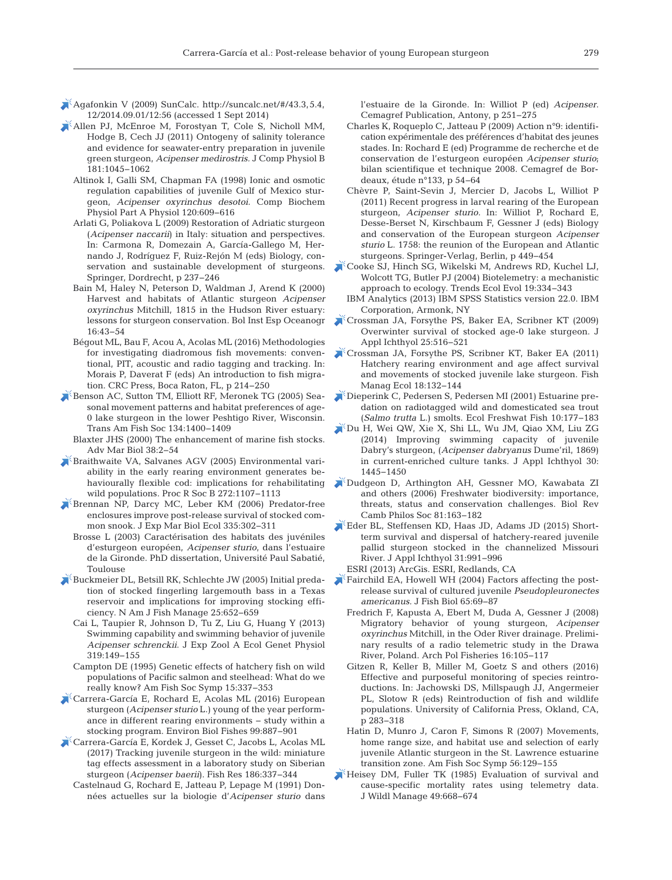- $\blacktriangleright$  Agafonkin V (2009) SunCalc. http://suncalc.net/#/43.3,5.4, 12/ 2014. 09. 01/ 12: 56 (accessed 1 Sept 2014)
- [Allen PJ, McEnroe M, Forostyan T, Cole S, Nicholl MM,](https://doi.org/10.1007/s00360-011-0592-0) Hodge B, Cech JJ (2011) Ontogeny of salinity tolerance and evidence for seawater-entry preparation in juvenile green sturgeon, *Acipenser medirostris.* J Comp Physiol B 181: 1045−1062
	- Altinok I, Galli SM, Chapman FA (1998) Ionic and osmotic regulation capabilities of juvenile Gulf of Mexico sturgeon, *Acipenser oxyrinchus desotoi*. Comp Biochem Physiol Part A Physiol 120:609-616
	- Arlati G, Poliakova L (2009) Restoration of Adriatic sturgeon (*Acipenser naccarii*) in Italy: situation and perspectives. In:Carmona R, Domezain A, García-Gallego M, Hernando J, Rodríguez F, Ruiz-Rejón M (eds) Biology, conservation and sustainable development of sturgeons. Springer, Dordrecht, p 237−246
	- Bain M, Haley N, Peterson D, Waldman J, Arend K (2000) Harvest and habitats of Atlantic sturgeon *Acipenser oxyrinchus* Mitchill, 1815 in the Hudson River estuary: lessons for sturgeon conservation. Bol Inst Esp Oceanogr 16: 43−54
	- Bégout ML, Bau F, Acou A, Acolas ML (2016) Methodologies for investigating diadromous fish movements: conventional, PIT, acoustic and radio tagging and tracking. In: Morais P, Daverat F (eds) An introduction to fish migration. CRC Press, Boca Raton, FL, p 214−250
- [Benson AC, Sutton TM, Elliott RF, Meronek TG \(2005\) Sea](https://doi.org/10.1577/T04-179.1)sonal movement patterns and habitat preferences of age-0 lake sturgeon in the lower Peshtigo River, Wisconsin. Trans Am Fish Soc 134: 1400−1409
	- Blaxter JHS (2000) The enhancement of marine fish stocks. Adv Mar Biol 38:2–54
- [Braithwaite VA, Salvanes AGV \(2005\) Environmental vari](https://doi.org/10.1098/rspb.2005.3062)ability in the early rearing environment generates be haviourally flexible cod: implications for rehabilitating wild populations. Proc R Soc B 272: 1107−1113
- [Brennan NP, Darcy MC, Leber KM \(2006\) Predator-free](https://doi.org/10.1016/j.jembe.2006.04.001) enclosures improve post-release survival of stocked common snook. J Exp Mar Biol Ecol 335: 302−311
	- Brosse L (2003) Caractérisation des habitats des juvéniles d'esturgeon européen, *Acipenser sturio*, dans l'estuaire de la Gironde. PhD dissertation, Université Paul Sabatié, Toulouse
- [Buckmeier DL, Betsill RK, Schlechte JW \(2005\) Initial preda](https://doi.org/10.1577/M04-077.1)tion of stocked fingerling largemouth bass in a Texas reservoir and implications for improving stocking efficiency. N Am J Fish Manage 25: 652−659
	- Cai L, Taupier R, Johnson D, Tu Z, Liu G, Huang Y (2013) Swimming capability and swimming behavior of juvenile *Acipenser schrenckii*. J Exp Zool A Ecol Genet Physiol 319: 149−155
	- Campton DE (1995) Genetic effects of hatchery fish on wild populations of Pacific salmon and steelhead: What do we really know? Am Fish Soc Symp 15:337-353
- [Carrera-García E, Rochard E, Acolas ML \(2016\) European](https://doi.org/10.1007/s10641-016-0531-8) sturgeon (*Acipenser sturio* L.) young of the year performance in different rearing environments − study within a stocking program. Environ Biol Fishes 99: 887−901
- [Carrera-García E, Kordek J, Gesset C, Jacobs L, Acolas ML](https://doi.org/10.1016/j.fishres.2016.10.017)  $(2017)$  Tracking juvenile sturgeon in the wild: miniature tag effects assessment in a laboratory study on Siberian sturgeon (*Acipenser baerii*). Fish Res 186: 337−344
	- Castelnaud G, Rochard E, Jatteau P, Lepage M (1991) Données actuelles sur la biologie d'*Acipenser sturio* dans

l'estuaire de la Gironde. In:Williot P (ed) *Acipenser*. Cemagref Publication, Antony, p 251−275

- Charles K, Roqueplo C, Jatteau P (2009) Action n°9: identification expérimentale des préférences d'habitat des jeunes stades. In: Rochard E (ed) Programme de recherche et de conservation de l'esturgeon européen *Acipenser sturio*; bilan scientifique et technique 2008. Cemagref de Bordeaux, étude n°133, p 54−64
- Chèvre P, Saint-Sevin J, Mercier D, Jacobs L, Williot P (2011) Recent progress in larval rearing of the European sturgeon, *Acipenser sturio*. In:Williot P, Rochard E, Desse-Berset N, Kirschbaum F, Gessner J (eds) Biology and conservation of the European sturgeon *Acipenser* sturio L. 1758: the reunion of the European and Atlantic sturgeons. Springer-Verlag, Berlin, p 449−454
- [Cooke SJ, Hinch SG, Wikelski M, Andrews RD, Kuchel LJ,](https://doi.org/10.1016/j.tree.2004.04.003) Wolcott TG, Butler PJ (2004) Biotelemetry: a mechanistic approach to ecology. Trends Ecol Evol 19: 334−343
	- IBM Analytics (2013) IBM SPSS Statistics version 22.0. IBM Corporation, Armonk, NY
- [Crossman JA, Forsythe PS, Baker EA, Scribner KT \(2009\)](https://doi.org/10.1111/j.1439-0426.2009.01310.x) Overwinter survival of stocked age-0 lake sturgeon. J Appl Ichthyol 25:516-521
- [Crossman JA, Forsythe PS, Scribner KT, Baker EA \(2011\)](https://doi.org/10.1111/j.1365-2400.2010.00762.x) Hatchery rearing environment and age affect survival and movements of stocked juvenile lake sturgeon. Fish Manag Ecol 18:132-144
- [Dieperink C, Pedersen S, Pedersen MI \(2001\) Estuarine pre](https://doi.org/10.1034/j.1600-0633.2001.100307.x)dation on radiotagged wild and domesticated sea trout (*Salmo trutta* L.) smolts. Ecol Freshwat Fish 10: 177−183
- [Du H, Wei QW, Xie X, Shi LL, Wu JM, Qiao XM, Liu ZG](https://doi.org/10.1111/jai.12591) (2014) Improving swimming capacity of juvenile Dabry's sturgeon, (*Acipenser dabryanus* Dume'ril, 1869) in current-enriched culture tanks. J Appl Ichthyol 30: 1445−1450
- [Dudgeon D, Arthington AH, Gessner MO, Kawabata ZI](https://doi.org/10.1017/S1464793105006950) and others (2006) Freshwater biodiversity: importance, threats, status and conservation challenges. Biol Rev Camb Philos Soc 81:163-182
- [Eder BL, Steffensen KD, Haas JD, Adams JD \(2015\) Short](https://doi.org/10.1111/jai.12881)term survival and dispersal of hatchery-reared juvenile pallid sturgeon stocked in the channelized Missouri River. J Appl Ichthyol 31: 991−996
- ESRI (2013) ArcGis. ESRI, Redlands, CA
- [Fairchild EA, Howell WH \(2004\) Factors affecting the post](https://doi.org/10.1111/j.0022-1112.2004.00529.x)release survival of cultured juvenile *Pseudopleuronectes* americanus. J Fish Biol 65:69-87
	- Fredrich F, Kapusta A, Ebert M, Duda A, Gessner J (2008) Migratory behavior of young sturgeon, *Acipenser oxyrinchus* Mitchill, in the Oder River drainage. Preliminary results of a radio telemetric study in the Drawa River, Poland. Arch Pol Fisheries 16: 105−117
	- Gitzen R, Keller B, Miller M, Goetz S and others (2016) Effective and purposeful monitoring of species reintroductions. In:Jachowski DS, Millspaugh JJ, Angermeier PL, Slotow R (eds) Reintroduction of fish and wildlife populations. University of California Press, Okland, CA, p 283−318
	- Hatin D, Munro J, Caron F, Simons R (2007) Movements, home range size, and habitat use and selection of early juvenile Atlantic sturgeon in the St. Lawrence estuarine transition zone. Am Fish Soc Symp 56: 129−155
- [Heisey DM, Fuller TK \(1985\) Evaluation of survival and](https://doi.org/10.2307/3801692) cause-specific mortality rates using telemetry data. J Wildl Manage 49:668-674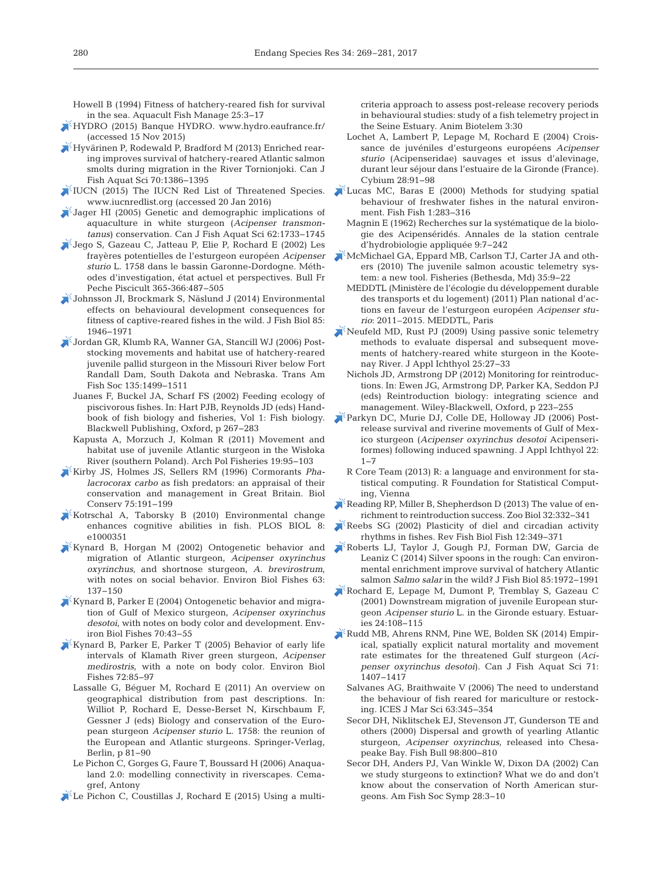Howell B (1994) Fitness of hatchery-reared fish for survival in the sea. Aquacult Fish Manage 25:3-17

- [HYDRO \(2015\) Banque HYDRO. www.hydro.eaufrance.fr/](http://www.hydro.eaufrance.fr/) (accessed 15 Nov 2015)
- [Hyvärinen P, Rodewald P, Bradford M \(2013\) Enriched rear](https://doi.org/10.1139/cjfas-2013-0147)ing improves survival of hatchery-reared Atlantic salmon smolts during migration in the River Tornionjoki. Can J Fish Aquat Sci 70: 1386−1395
- [IUCN \(2015\) The IUCN Red List of Threatened Species.](http://www.iucnredlist.org) www.iucnredlist.org (accessed 20 Jan 2016)
- [Jager HI \(2005\) Genetic and demographic implications of](https://doi.org/10.1139/f05-106) aquaculture in white sturgeon (*Acipenser transmontanus*) conservation. Can J Fish Aquat Sci 62: 1733−1745
- [Jego S, Gazeau C, Jatteau P, Elie P, Rochard E \(2002\) Les](https://doi.org/10.1051/kmae%3A2002047) frayères potentielles de l'esturgeon européen *Acipenser sturio* L. 1758 dans le bassin Garonne-Dordogne. Méthodes d'investigation, état actuel et perspectives. Bull Fr Peche Piscicult 365-366: 487−505
- [Johnsson JI, Brockmark S, Näslund J \(2014\) Environmental](https://doi.org/10.1111/jfb.12547) effects on behavioural development consequences for fitness of captive-reared fishes in the wild. J Fish Biol 85: 1946−1971
- [Jordan GR, Klumb RA, Wanner GA, Stancill WJ \(2006\) Post](https://doi.org/10.1577/T05-201.1)stocking movements and habitat use of hatchery-reared juvenile pallid sturgeon in the Missouri River below Fort Randall Dam, South Dakota and Nebraska. Trans Am Fish Soc 135: 1499−1511
	- Juanes F, Buckel JA, Scharf FS (2002) Feeding ecology of piscivorous fishes. In: Hart PJB, Reynolds JD (eds) Handbook of fish biology and fisheries, Vol 1: Fish biology. Blackwell Publishing, Oxford, p 267−283
	- Kapusta A, Morzuch J, Kolman R (2011) Movement and habitat use of juvenile Atlantic sturgeon in the Wisłoka River (southern Poland). Arch Pol Fisheries 19: 95−103
- [Kirby JS, Holmes JS, Sellers RM \(1996\) Cormorants](https://doi.org/10.1016/0006-3207(95)00043-7) *Phalacrocorax carbo* as fish predators: an appraisal of their conservation and management in Great Britain. Biol Conserv 75: 191−199
- [Kotrschal A, Taborsky B \(2010\) Environmental change](https://doi.org/10.1371/journal.pbio.1000351) enhances cognitive abilities in fish. PLOS BIOL 8: e1000351
- [Kynard B, Horgan M \(2002\) Ontogenetic behavior and](https://doi.org/10.1023/A%3A1014270129729) migration of Atlantic sturgeon, *Acipenser oxyrinchus oxyrinchus*, and shortnose sturgeon, *A. brevirostrum*, with notes on social behavior. Environ Biol Fishes 63: 137−150
- [Kynard B, Parker E \(2004\) Ontogenetic behavior and migra](https://doi.org/10.1023/B%3AEBFI.0000022855.96143.95)tion of Gulf of Mexico sturgeon, *Acipenser oxyrinchus desotoi*, with notes on body color and development. Environ Biol Fishes 70: 43−55
- [Kynard B, Parker E, Parker T \(2005\) Behavior of early life](https://doi.org/10.1007/s10641-004-6584-0) intervals of Klamath River green sturgeon, *Acipenser medirostris*, with a note on body color. Environ Biol Fishes 72: 85−97
	- Lassalle G, Béguer M, Rochard E (2011) An overview on geographical distribution from past descriptions. In: Williot P, Rochard E, Desse-Berset N, Kirschbaum F, Gessner J (eds) Biology and conservation of the European sturgeon *Acipenser sturio* L. 1758: the reunion of the European and Atlantic sturgeons. Springer-Verlag, Berlin, p 81−90
	- Le Pichon C, Gorges G, Faure T, Boussard H (2006) Anaqualand 2.0: modelling connectivity in riverscapes. Cemagref, Antony
- $\blacktriangleright$  [Le Pichon C, Coustillas J, Rochard E \(2015\) Using a multi-](https://doi.org/10.1186/s40317-015-0062-7)

criteria approach to assess post-release recovery periods in behavioural studies: study of a fish telemetry project in the Seine Estuary. Anim Biotelem 3:30

- Lochet A, Lambert P, Lepage M, Rochard E (2004) Croissance de juvéniles d'esturgeons européens *Acipenser sturio* (Acipenseridae) sauvages et issus d'alevinage, durant leur séjour dans l'estuaire de la Gironde (France). Cybium 28:91-98
- [Lucas MC, Baras E \(2000\) Methods for studying spatial](https://doi.org/10.1046/j.1467-2979.2000.00028.x) behaviour of freshwater fishes in the natural environment. Fish Fish 1:283-316
	- Magnin E (1962) Recherches sur la systématique de la biologie des Acipenséridés. Annales de la station centrale d'hydrobiologie appliquée 9:7-242
- [McMichael GA, Eppard MB, Carlson TJ, Carter JA and oth](https://doi.org/10.1577/1548-8446-35.1.9)ers (2010) The juvenile salmon acoustic telemetry system: a new tool. Fisheries (Bethesda, Md) 35:9-22
	- MEDDTL (Ministère de l'écologie du développement durable des transports et du logement) (2011) Plan national d'actions en faveur de l'esturgeon européen *Acipenser sturio*:2011–2015. MEDDTL, Paris
- [Neufeld MD, Rust PJ \(2009\) Using passive sonic telemetry](https://doi.org/10.1111/j.1439-0426.2009.01336.x) methods to evaluate dispersal and subsequent movements of hatchery-reared white sturgeon in the Kootenay River. J Appl Ichthyol 25:27-33
	- Nichols JD, Armstrong DP (2012) Monitoring for reintroductions. In:Ewen JG, Armstrong DP, Parker KA, Seddon PJ (eds) Reintroduction biology: integrating science and management. Wiley-Blackwell, Oxford, p 223−255
- [Parkyn DC, Murie DJ, Colle DE, Holloway JD \(2006\) Post](https://doi.org/10.1111/j.1439-0426.2006.00710.x)release survival and riverine movements of Gulf of Mexico sturgeon (*Acipenser oxyrinchus desotoi* Acipenseriformes) following induced spawning. J Appl Ichthyol 22: 1−7
	- R Core Team (2013) R: a language and environment for statistical computing. R Foundation for Statistical Computing, Vienna
- [Reading RP, Miller B, Shepherdson D \(2013\) The value of en](https://doi.org/10.1002/zoo.21054)richment to reintroduction success. Zoo Biol 32: 332−341
- [Reebs SG \(2002\) Plasticity of diel and circadian activity](https://doi.org/10.1023/A%3A1025371804611) rhythms in fishes. Rev Fish Biol Fish 12: 349−371
- [Roberts LJ, Taylor J, Gough PJ, Forman DW, Garcia de](https://doi.org/10.1111/jfb.12544) Leaniz C (2014) Silver spoons in the rough: Can environmental enrichment improve survival of hatchery Atlantic salmon *Salmo salar* in the wild? J Fish Biol 85: 1972−1991
- [Rochard E, Lepage M, Dumont P, Tremblay S, Gazeau C](https://doi.org/10.2307/1352817) (2001) Downstream migration of juvenile European sturgeon *Acipenser sturio* L. in the Gironde estuary. Estuaries 24: 108−115
- [Rudd MB, Ahrens RNM, Pine WE, Bolden SK \(2014\) Empir](https://doi.org/10.1139/cjfas-2014-0010)ical, spatially explicit natural mortality and movement rate estimates for the threatened Gulf sturgeon (*Aci penser oxyrinchus desotoi*). Can J Fish Aquat Sci 71: 1407−1417
	- Salvanes AG, Braithwaite V (2006) The need to understand the behaviour of fish reared for mariculture or restocking. ICES J Mar Sci 63: 345−354
	- Secor DH, Niklitschek EJ, Stevenson JT, Gunderson TE and others (2000) Dispersal and growth of yearling Atlantic sturgeon, *Acipenser oxyrinchus*, released into Chesapeake Bay. Fish Bull 98: 800−810
	- Secor DH, Anders PJ, Van Winkle W, Dixon DA (2002) Can we study sturgeons to extinction? What we do and don't know about the conservation of North American sturgeons. Am Fish Soc Symp 28:3-10